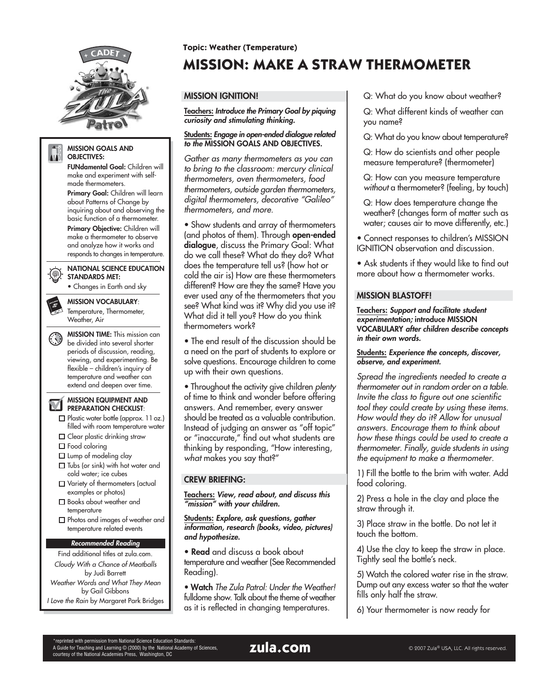

#### **MISSION GOALS AND** AIT. **OBJECTIVES:**

**FUNdamental Goal:** Children will make and experiment with selfmade thermometers.

**Primary Goal:** Children will learn about Patterns of Change by inquiring about and observing the basic function of a thermometer. **Primary Objective:** Children will make a thermometer to observe and analyze how it works and responds to changes in temperature.

**NATIONAL SCIENCE EDUCATION STANDARDS MET:**

(@)-

• Changes in Earth and sky

**MISSION VOCABULARY**: Temperature, Thermometer, Weather, Air

**MISSION TIME:** This mission can be divided into several shorter periods of discussion, reading, viewing, and experimenting. Be flexible – children's inquiry of temperature and weather can extend and deepen over time.

**MISSION EQUIPMENT AND PREPARATION CHECKLIST**:

- Plastic water bottle (approx. 11 oz.) filled with room temperature water
- **Clear plastic drinking straw**
- □ Food coloring
- $\square$  Lump of modeling clay
- $\square$  Tubs (or sink) with hot water and
- cold water; ice cubes Variety of thermometers (actual
- examples or photos) □ Books about weather and
- temperature Photos and images of weather and
- temperature related events

#### **Recommended Reading**

Find additional titles at zula.com. Cloudy With a Chance of Meatballs by Judi Barrett Weather Words and What They Mean by Gail Gibbons I Love the Rain by Margaret Park Bridges

## **Topic: Weather (Temperature)**

# **MISSION: MAKE A STRAW THERMOMETER**

# **MISSION IGNITION!**

**Teachers: Introduce the Primary Goal by piquing curiosity and stimulating thinking.**

#### **Students: Engage in open-ended dialogue related to the MISSION GOALS AND OBJECTIVES.**

Gather as many thermometers as you can to bring to the classroom: mercury clinical thermometers, oven thermometers, food thermometers, outside garden thermometers, digital thermometers, decorative "Galileo" thermometers, and more.

• Show students and array of thermometers (and photos of them). Through **open-ended dialogue**, discuss the Primary Goal: What do we call these? What do they do? What does the temperature tell us? (how hot or cold the air is) How are these thermometers different? How are they the same? Have you ever used any of the thermometers that you see? What kind was it? Why did you use it? What did it tell you? How do you think thermometers work?

• The end result of the discussion should be a need on the part of students to explore or solve questions. Encourage children to come up with their own questions.

• Throughout the activity give children plenty of time to think and wonder before offering answers. And remember, every answer should be treated as a valuable contribution. Instead of judging an answer as "off topic" or "inaccurate," find out what students are thinking by responding, "How interesting, what makes you say that?"

# **CREW BRIEFING:**

**Teachers: View, read about, and discuss this "mission" with your children.**

**Students: Explore, ask questions, gather information, research (books, video, pictures) and hypothesize.**

• **Read** and discuss a book about temperature and weather (See Recommended Reading).

• **Watch** The Zula Patrol: Under the Weather! fulldome show. Talk about the theme of weather as it is reflected in changing temperatures.

Q: What do you know about weather?

Q: What different kinds of weather can you name?

Q: What do you know about temperature?

Q: How do scientists and other people measure temperature? (thermometer)

Q: How can you measure temperature without a thermometer? (feeling, by touch)

Q: How does temperature change the weather? (changes form of matter such as water; causes air to move differently, etc.)

• Connect responses to children's MISSION IGNITION observation and discussion.

• Ask students if they would like to find out more about how a thermometer works.

# **MISSION BLASTOFF!**

**Teachers: Support and facilitate student experimentation; introduce MISSION VOCABULARY after children describe concepts in their own words.**

**Students: Experience the concepts, discover, observe, and experiment.**

Spread the ingredients needed to create a thermometer out in random order on a table. Invite the class to figure out one scientific tool they could create by using these items. How would they do it? Allow for unusual answers. Encourage them to think about how these things could be used to create a thermometer. Finally, guide students in using the equipment to make a thermometer.

1) Fill the bottle to the brim with water. Add food coloring.

2) Press a hole in the clay and place the straw through it.

3) Place straw in the bottle. Do not let it touch the bottom.

4) Use the clay to keep the straw in place. Tightly seal the bottle's neck.

5) Watch the colored water rise in the straw. Dump out any excess water so that the water fills only half the straw.

6) Your thermometer is now ready for